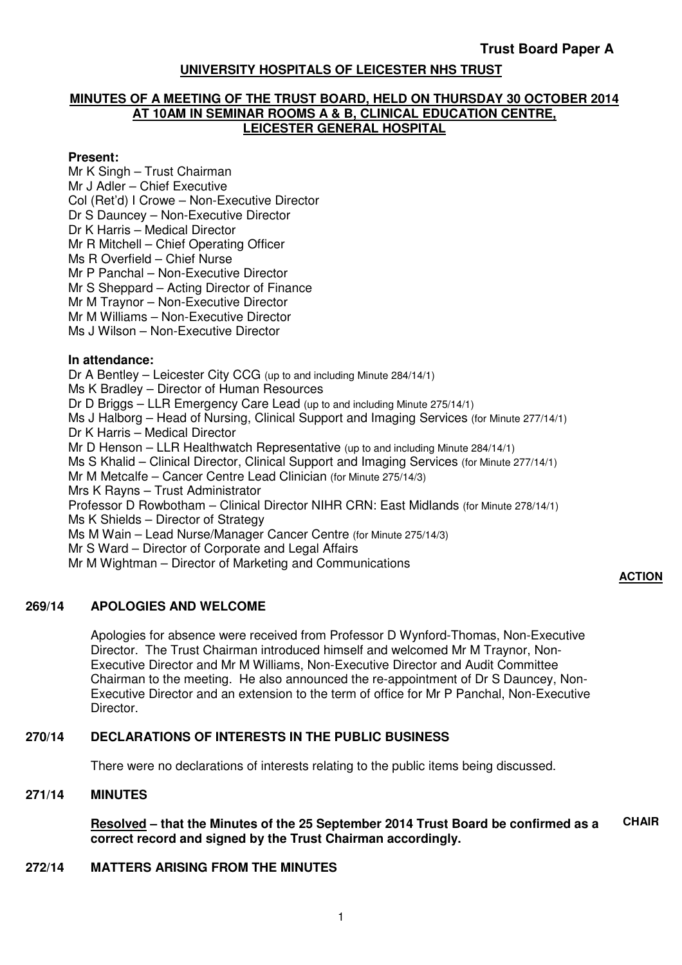# **UNIVERSITY HOSPITALS OF LEICESTER NHS TRUST**

#### **MINUTES OF A MEETING OF THE TRUST BOARD, HELD ON THURSDAY 30 OCTOBER 2014 AT 10AM IN SEMINAR ROOMS A & B, CLINICAL EDUCATION CENTRE, LEICESTER GENERAL HOSPITAL**

### **Present:**

Mr K Singh – Trust Chairman Mr J Adler – Chief Executive Col (Ret'd) I Crowe – Non-Executive Director Dr S Dauncey – Non-Executive Director Dr K Harris – Medical Director Mr R Mitchell – Chief Operating Officer Ms R Overfield – Chief Nurse Mr P Panchal – Non-Executive Director Mr S Sheppard – Acting Director of Finance Mr M Traynor – Non-Executive Director Mr M Williams – Non-Executive Director Ms J Wilson – Non-Executive Director **In attendance:** Dr A Bentley – Leicester City CCG (up to and including Minute 284/14/1) Ms K Bradley – Director of Human Resources Dr D Briggs – LLR Emergency Care Lead (up to and including Minute 275/14/1) Ms J Halborg – Head of Nursing, Clinical Support and Imaging Services (for Minute 277/14/1) Dr K Harris – Medical Director Mr D Henson – LLR Healthwatch Representative (up to and including Minute 284/14/1) Ms S Khalid – Clinical Director, Clinical Support and Imaging Services (for Minute 277/14/1) Mr M Metcalfe – Cancer Centre Lead Clinician (for Minute 275/14/3) Mrs K Rayns – Trust Administrator Professor D Rowbotham – Clinical Director NIHR CRN: East Midlands (for Minute 278/14/1) Ms K Shields – Director of Strategy Ms M Wain – Lead Nurse/Manager Cancer Centre (for Minute 275/14/3) Mr S Ward – Director of Corporate and Legal Affairs Mr M Wightman – Director of Marketing and Communications

# **ACTION**

# **269/14 APOLOGIES AND WELCOME**

Apologies for absence were received from Professor D Wynford-Thomas, Non-Executive Director. The Trust Chairman introduced himself and welcomed Mr M Traynor, Non-Executive Director and Mr M Williams, Non-Executive Director and Audit Committee Chairman to the meeting. He also announced the re-appointment of Dr S Dauncey, Non-Executive Director and an extension to the term of office for Mr P Panchal, Non-Executive Director.

# **270/14 DECLARATIONS OF INTERESTS IN THE PUBLIC BUSINESS**

There were no declarations of interests relating to the public items being discussed.

#### **271/14 MINUTES**

**Resolved – that the Minutes of the 25 September 2014 Trust Board be confirmed as a correct record and signed by the Trust Chairman accordingly. CHAIR** 

#### **272/14 MATTERS ARISING FROM THE MINUTES**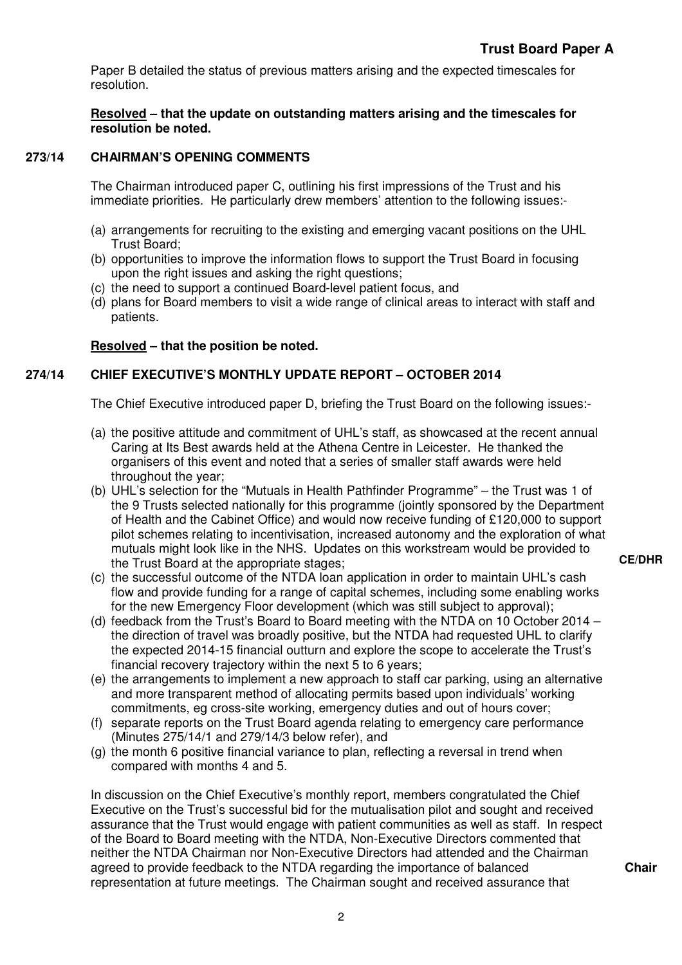Paper B detailed the status of previous matters arising and the expected timescales for resolution.

**Resolved – that the update on outstanding matters arising and the timescales for resolution be noted.** 

# **273/14 CHAIRMAN'S OPENING COMMENTS**

The Chairman introduced paper C, outlining his first impressions of the Trust and his immediate priorities. He particularly drew members' attention to the following issues:-

- (a) arrangements for recruiting to the existing and emerging vacant positions on the UHL Trust Board;
- (b) opportunities to improve the information flows to support the Trust Board in focusing upon the right issues and asking the right questions;
- (c) the need to support a continued Board-level patient focus, and
- (d) plans for Board members to visit a wide range of clinical areas to interact with staff and patients.

# **Resolved – that the position be noted.**

# **274/14 CHIEF EXECUTIVE'S MONTHLY UPDATE REPORT – OCTOBER 2014**

The Chief Executive introduced paper D, briefing the Trust Board on the following issues:-

- (a) the positive attitude and commitment of UHL's staff, as showcased at the recent annual Caring at Its Best awards held at the Athena Centre in Leicester. He thanked the organisers of this event and noted that a series of smaller staff awards were held throughout the year;
- (b) UHL's selection for the "Mutuals in Health Pathfinder Programme" the Trust was 1 of the 9 Trusts selected nationally for this programme (jointly sponsored by the Department of Health and the Cabinet Office) and would now receive funding of £120,000 to support pilot schemes relating to incentivisation, increased autonomy and the exploration of what mutuals might look like in the NHS. Updates on this workstream would be provided to the Trust Board at the appropriate stages;
- (c) the successful outcome of the NTDA loan application in order to maintain UHL's cash flow and provide funding for a range of capital schemes, including some enabling works for the new Emergency Floor development (which was still subject to approval);
- (d) feedback from the Trust's Board to Board meeting with the NTDA on 10 October 2014 the direction of travel was broadly positive, but the NTDA had requested UHL to clarify the expected 2014-15 financial outturn and explore the scope to accelerate the Trust's financial recovery trajectory within the next 5 to 6 years;
- (e) the arrangements to implement a new approach to staff car parking, using an alternative and more transparent method of allocating permits based upon individuals' working commitments, eg cross-site working, emergency duties and out of hours cover;
- (f) separate reports on the Trust Board agenda relating to emergency care performance (Minutes 275/14/1 and 279/14/3 below refer), and
- (g) the month 6 positive financial variance to plan, reflecting a reversal in trend when compared with months 4 and 5.

In discussion on the Chief Executive's monthly report, members congratulated the Chief Executive on the Trust's successful bid for the mutualisation pilot and sought and received assurance that the Trust would engage with patient communities as well as staff. In respect of the Board to Board meeting with the NTDA, Non-Executive Directors commented that neither the NTDA Chairman nor Non-Executive Directors had attended and the Chairman agreed to provide feedback to the NTDA regarding the importance of balanced representation at future meetings. The Chairman sought and received assurance that

**CE/DHR** 

**Chair**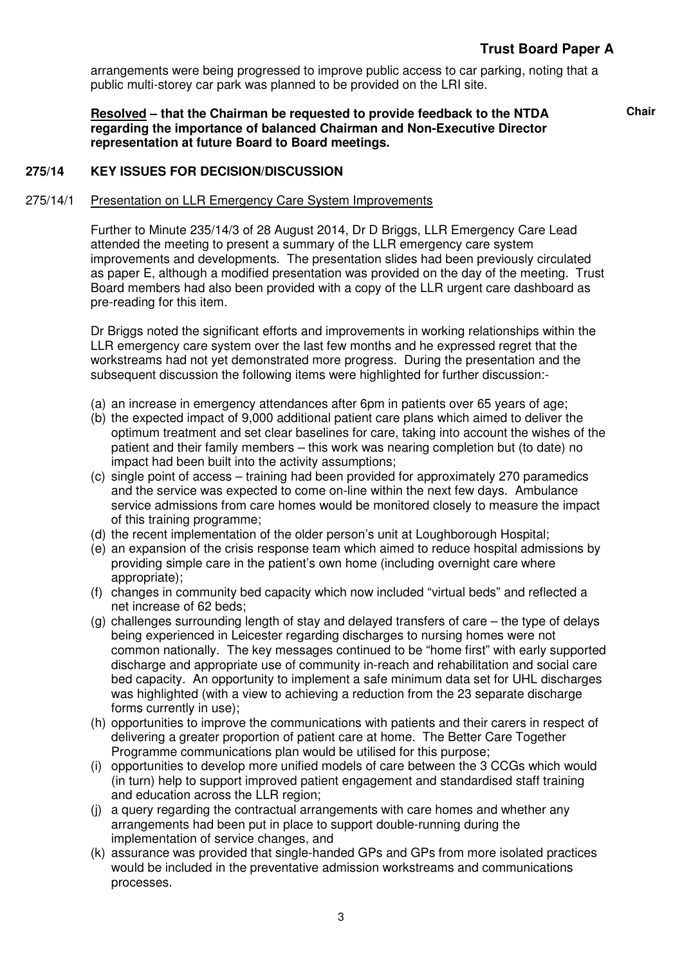# **Trust Board Paper A**

arrangements were being progressed to improve public access to car parking, noting that a public multi-storey car park was planned to be provided on the LRI site.

**Resolved – that the Chairman be requested to provide feedback to the NTDA regarding the importance of balanced Chairman and Non-Executive Director representation at future Board to Board meetings.** 

**Chair** 

## **275/14 KEY ISSUES FOR DECISION/DISCUSSION**

#### 275/14/1 Presentation on LLR Emergency Care System Improvements

Further to Minute 235/14/3 of 28 August 2014, Dr D Briggs, LLR Emergency Care Lead attended the meeting to present a summary of the LLR emergency care system improvements and developments. The presentation slides had been previously circulated as paper E, although a modified presentation was provided on the day of the meeting. Trust Board members had also been provided with a copy of the LLR urgent care dashboard as pre-reading for this item.

Dr Briggs noted the significant efforts and improvements in working relationships within the LLR emergency care system over the last few months and he expressed regret that the workstreams had not yet demonstrated more progress. During the presentation and the subsequent discussion the following items were highlighted for further discussion:-

- (a) an increase in emergency attendances after 6pm in patients over 65 years of age;
- (b) the expected impact of 9,000 additional patient care plans which aimed to deliver the optimum treatment and set clear baselines for care, taking into account the wishes of the patient and their family members – this work was nearing completion but (to date) no impact had been built into the activity assumptions;
- (c) single point of access training had been provided for approximately 270 paramedics and the service was expected to come on-line within the next few days. Ambulance service admissions from care homes would be monitored closely to measure the impact of this training programme;
- (d) the recent implementation of the older person's unit at Loughborough Hospital;
- (e) an expansion of the crisis response team which aimed to reduce hospital admissions by providing simple care in the patient's own home (including overnight care where appropriate);
- (f) changes in community bed capacity which now included "virtual beds" and reflected a net increase of 62 beds;
- (g) challenges surrounding length of stay and delayed transfers of care the type of delays being experienced in Leicester regarding discharges to nursing homes were not common nationally. The key messages continued to be "home first" with early supported discharge and appropriate use of community in-reach and rehabilitation and social care bed capacity. An opportunity to implement a safe minimum data set for UHL discharges was highlighted (with a view to achieving a reduction from the 23 separate discharge forms currently in use);
- (h) opportunities to improve the communications with patients and their carers in respect of delivering a greater proportion of patient care at home. The Better Care Together Programme communications plan would be utilised for this purpose;
- (i) opportunities to develop more unified models of care between the 3 CCGs which would (in turn) help to support improved patient engagement and standardised staff training and education across the LLR region;
- (j) a query regarding the contractual arrangements with care homes and whether any arrangements had been put in place to support double-running during the implementation of service changes, and
- (k) assurance was provided that single-handed GPs and GPs from more isolated practices would be included in the preventative admission workstreams and communications processes.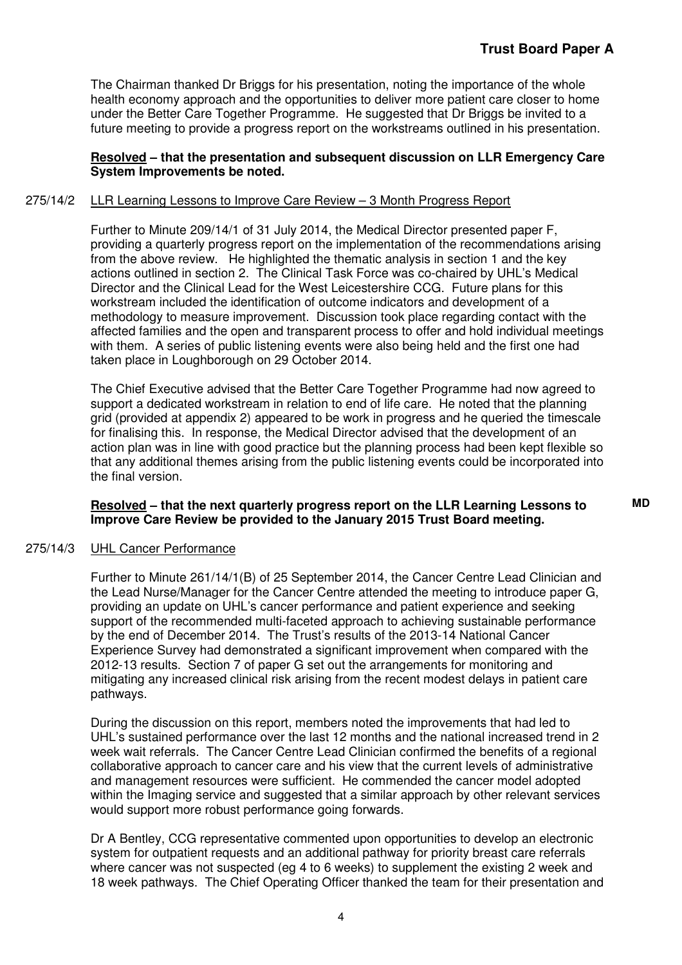The Chairman thanked Dr Briggs for his presentation, noting the importance of the whole health economy approach and the opportunities to deliver more patient care closer to home under the Better Care Together Programme. He suggested that Dr Briggs be invited to a future meeting to provide a progress report on the workstreams outlined in his presentation.

### **Resolved – that the presentation and subsequent discussion on LLR Emergency Care System Improvements be noted.**

### 275/14/2 LLR Learning Lessons to Improve Care Review – 3 Month Progress Report

Further to Minute 209/14/1 of 31 July 2014, the Medical Director presented paper F, providing a quarterly progress report on the implementation of the recommendations arising from the above review. He highlighted the thematic analysis in section 1 and the key actions outlined in section 2. The Clinical Task Force was co-chaired by UHL's Medical Director and the Clinical Lead for the West Leicestershire CCG. Future plans for this workstream included the identification of outcome indicators and development of a methodology to measure improvement. Discussion took place regarding contact with the affected families and the open and transparent process to offer and hold individual meetings with them. A series of public listening events were also being held and the first one had taken place in Loughborough on 29 October 2014.

The Chief Executive advised that the Better Care Together Programme had now agreed to support a dedicated workstream in relation to end of life care. He noted that the planning grid (provided at appendix 2) appeared to be work in progress and he queried the timescale for finalising this. In response, the Medical Director advised that the development of an action plan was in line with good practice but the planning process had been kept flexible so that any additional themes arising from the public listening events could be incorporated into the final version.

### **Resolved – that the next quarterly progress report on the LLR Learning Lessons to Improve Care Review be provided to the January 2015 Trust Board meeting.**

#### 275/14/3 UHL Cancer Performance

Further to Minute 261/14/1(B) of 25 September 2014, the Cancer Centre Lead Clinician and the Lead Nurse/Manager for the Cancer Centre attended the meeting to introduce paper G, providing an update on UHL's cancer performance and patient experience and seeking support of the recommended multi-faceted approach to achieving sustainable performance by the end of December 2014. The Trust's results of the 2013-14 National Cancer Experience Survey had demonstrated a significant improvement when compared with the 2012-13 results. Section 7 of paper G set out the arrangements for monitoring and mitigating any increased clinical risk arising from the recent modest delays in patient care pathways.

During the discussion on this report, members noted the improvements that had led to UHL's sustained performance over the last 12 months and the national increased trend in 2 week wait referrals. The Cancer Centre Lead Clinician confirmed the benefits of a regional collaborative approach to cancer care and his view that the current levels of administrative and management resources were sufficient. He commended the cancer model adopted within the Imaging service and suggested that a similar approach by other relevant services would support more robust performance going forwards.

Dr A Bentley, CCG representative commented upon opportunities to develop an electronic system for outpatient requests and an additional pathway for priority breast care referrals where cancer was not suspected (eg 4 to 6 weeks) to supplement the existing 2 week and 18 week pathways. The Chief Operating Officer thanked the team for their presentation and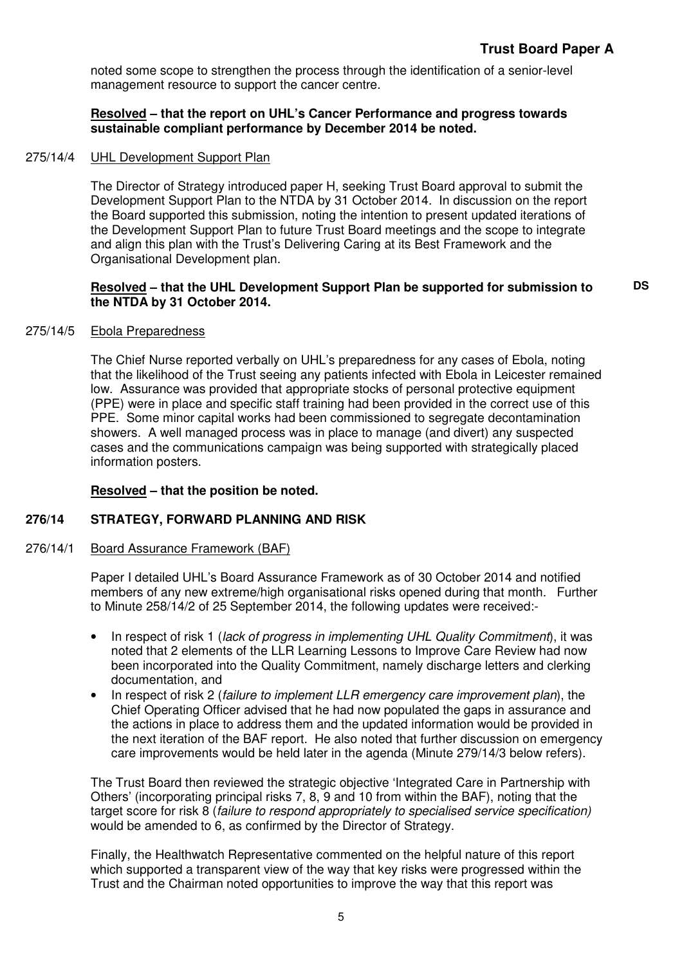noted some scope to strengthen the process through the identification of a senior-level management resource to support the cancer centre.

# **Resolved – that the report on UHL's Cancer Performance and progress towards sustainable compliant performance by December 2014 be noted.**

## 275/14/4 UHL Development Support Plan

The Director of Strategy introduced paper H, seeking Trust Board approval to submit the Development Support Plan to the NTDA by 31 October 2014. In discussion on the report the Board supported this submission, noting the intention to present updated iterations of the Development Support Plan to future Trust Board meetings and the scope to integrate and align this plan with the Trust's Delivering Caring at its Best Framework and the Organisational Development plan.

### **Resolved – that the UHL Development Support Plan be supported for submission to the NTDA by 31 October 2014.**

#### 275/14/5 Ebola Preparedness

The Chief Nurse reported verbally on UHL's preparedness for any cases of Ebola, noting that the likelihood of the Trust seeing any patients infected with Ebola in Leicester remained low. Assurance was provided that appropriate stocks of personal protective equipment (PPE) were in place and specific staff training had been provided in the correct use of this PPE. Some minor capital works had been commissioned to segregate decontamination showers. A well managed process was in place to manage (and divert) any suspected cases and the communications campaign was being supported with strategically placed information posters.

# **Resolved – that the position be noted.**

# **276/14 STRATEGY, FORWARD PLANNING AND RISK**

#### 276/14/1 Board Assurance Framework (BAF)

Paper I detailed UHL's Board Assurance Framework as of 30 October 2014 and notified members of any new extreme/high organisational risks opened during that month. Further to Minute 258/14/2 of 25 September 2014, the following updates were received:-

- In respect of risk 1 (lack of progress in implementing UHL Quality Commitment), it was noted that 2 elements of the LLR Learning Lessons to Improve Care Review had now been incorporated into the Quality Commitment, namely discharge letters and clerking documentation, and
- In respect of risk 2 (failure to implement LLR emergency care improvement plan), the Chief Operating Officer advised that he had now populated the gaps in assurance and the actions in place to address them and the updated information would be provided in the next iteration of the BAF report. He also noted that further discussion on emergency care improvements would be held later in the agenda (Minute 279/14/3 below refers).

The Trust Board then reviewed the strategic objective 'Integrated Care in Partnership with Others' (incorporating principal risks 7, 8, 9 and 10 from within the BAF), noting that the target score for risk 8 (failure to respond appropriately to specialised service specification) would be amended to 6, as confirmed by the Director of Strategy.

Finally, the Healthwatch Representative commented on the helpful nature of this report which supported a transparent view of the way that key risks were progressed within the Trust and the Chairman noted opportunities to improve the way that this report was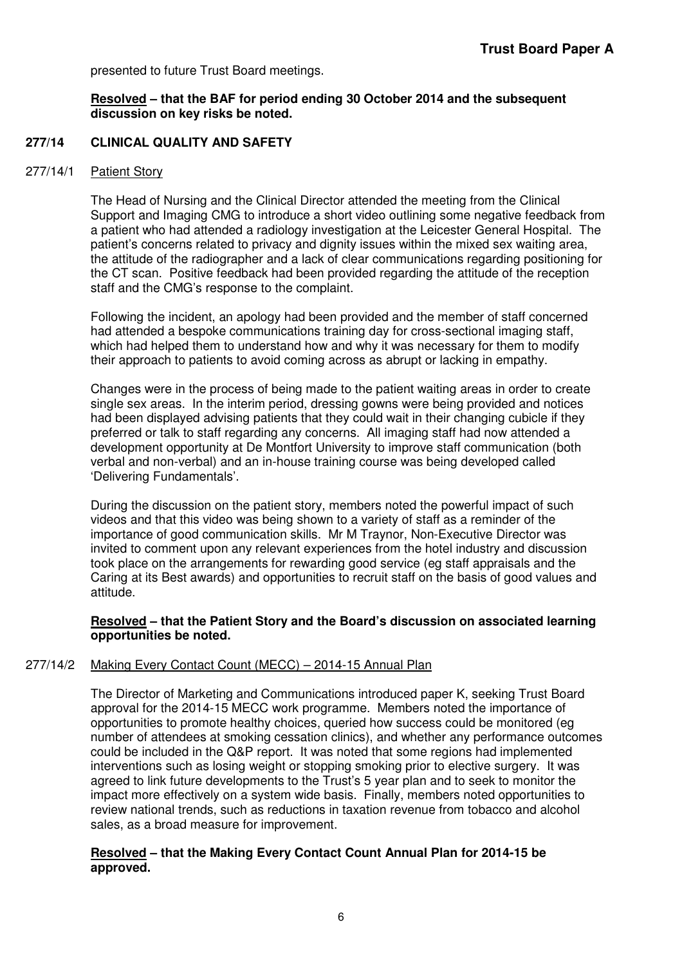presented to future Trust Board meetings.

### **Resolved – that the BAF for period ending 30 October 2014 and the subsequent discussion on key risks be noted.**

### **277/14 CLINICAL QUALITY AND SAFETY**

#### 277/14/1 Patient Story

The Head of Nursing and the Clinical Director attended the meeting from the Clinical Support and Imaging CMG to introduce a short video outlining some negative feedback from a patient who had attended a radiology investigation at the Leicester General Hospital. The patient's concerns related to privacy and dignity issues within the mixed sex waiting area, the attitude of the radiographer and a lack of clear communications regarding positioning for the CT scan. Positive feedback had been provided regarding the attitude of the reception staff and the CMG's response to the complaint.

Following the incident, an apology had been provided and the member of staff concerned had attended a bespoke communications training day for cross-sectional imaging staff, which had helped them to understand how and why it was necessary for them to modify their approach to patients to avoid coming across as abrupt or lacking in empathy.

Changes were in the process of being made to the patient waiting areas in order to create single sex areas. In the interim period, dressing gowns were being provided and notices had been displayed advising patients that they could wait in their changing cubicle if they preferred or talk to staff regarding any concerns. All imaging staff had now attended a development opportunity at De Montfort University to improve staff communication (both verbal and non-verbal) and an in-house training course was being developed called 'Delivering Fundamentals'.

During the discussion on the patient story, members noted the powerful impact of such videos and that this video was being shown to a variety of staff as a reminder of the importance of good communication skills. Mr M Traynor, Non-Executive Director was invited to comment upon any relevant experiences from the hotel industry and discussion took place on the arrangements for rewarding good service (eg staff appraisals and the Caring at its Best awards) and opportunities to recruit staff on the basis of good values and attitude.

### **Resolved – that the Patient Story and the Board's discussion on associated learning opportunities be noted.**

#### 277/14/2 Making Every Contact Count (MECC) – 2014-15 Annual Plan

The Director of Marketing and Communications introduced paper K, seeking Trust Board approval for the 2014-15 MECC work programme. Members noted the importance of opportunities to promote healthy choices, queried how success could be monitored (eg number of attendees at smoking cessation clinics), and whether any performance outcomes could be included in the Q&P report. It was noted that some regions had implemented interventions such as losing weight or stopping smoking prior to elective surgery. It was agreed to link future developments to the Trust's 5 year plan and to seek to monitor the impact more effectively on a system wide basis. Finally, members noted opportunities to review national trends, such as reductions in taxation revenue from tobacco and alcohol sales, as a broad measure for improvement.

### **Resolved – that the Making Every Contact Count Annual Plan for 2014-15 be approved.**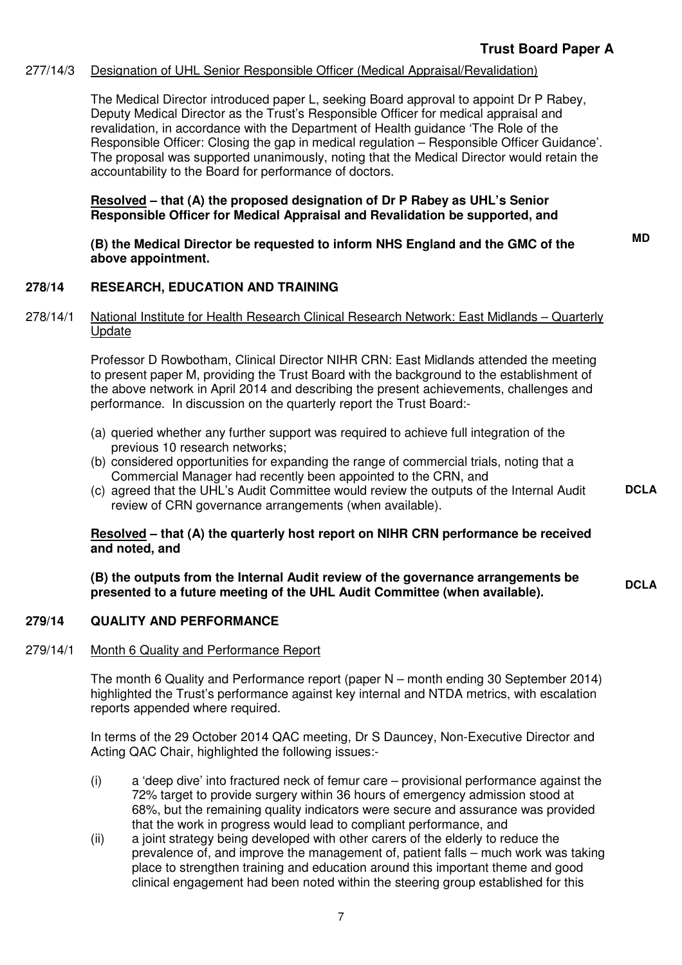# 277/14/3 Designation of UHL Senior Responsible Officer (Medical Appraisal/Revalidation)

The Medical Director introduced paper L, seeking Board approval to appoint Dr P Rabey, Deputy Medical Director as the Trust's Responsible Officer for medical appraisal and revalidation, in accordance with the Department of Health guidance 'The Role of the Responsible Officer: Closing the gap in medical regulation – Responsible Officer Guidance'. The proposal was supported unanimously, noting that the Medical Director would retain the accountability to the Board for performance of doctors.

### **Resolved – that (A) the proposed designation of Dr P Rabey as UHL's Senior Responsible Officer for Medical Appraisal and Revalidation be supported, and**

**(B) the Medical Director be requested to inform NHS England and the GMC of the above appointment.** 

**MD** 

**DCLA** 

# **278/14 RESEARCH, EDUCATION AND TRAINING**

## 278/14/1 National Institute for Health Research Clinical Research Network: East Midlands – Quarterly Update

Professor D Rowbotham, Clinical Director NIHR CRN: East Midlands attended the meeting to present paper M, providing the Trust Board with the background to the establishment of the above network in April 2014 and describing the present achievements, challenges and performance. In discussion on the quarterly report the Trust Board:-

- (a) queried whether any further support was required to achieve full integration of the previous 10 research networks;
- (b) considered opportunities for expanding the range of commercial trials, noting that a Commercial Manager had recently been appointed to the CRN, and
- (c) agreed that the UHL's Audit Committee would review the outputs of the Internal Audit review of CRN governance arrangements (when available).

# **Resolved – that (A) the quarterly host report on NIHR CRN performance be received and noted, and**

**(B) the outputs from the Internal Audit review of the governance arrangements be**  (B) the outputs from the internal Audit review of the governance arrangements be **proprient in the UHL Audit Committee** (when available).

# **279/14 QUALITY AND PERFORMANCE**

#### 279/14/1 Month 6 Quality and Performance Report

The month 6 Quality and Performance report (paper N – month ending 30 September 2014) highlighted the Trust's performance against key internal and NTDA metrics, with escalation reports appended where required.

In terms of the 29 October 2014 QAC meeting, Dr S Dauncey, Non-Executive Director and Acting QAC Chair, highlighted the following issues:-

- (i) a 'deep dive' into fractured neck of femur care provisional performance against the 72% target to provide surgery within 36 hours of emergency admission stood at 68%, but the remaining quality indicators were secure and assurance was provided that the work in progress would lead to compliant performance, and
- (ii) a joint strategy being developed with other carers of the elderly to reduce the prevalence of, and improve the management of, patient falls – much work was taking place to strengthen training and education around this important theme and good clinical engagement had been noted within the steering group established for this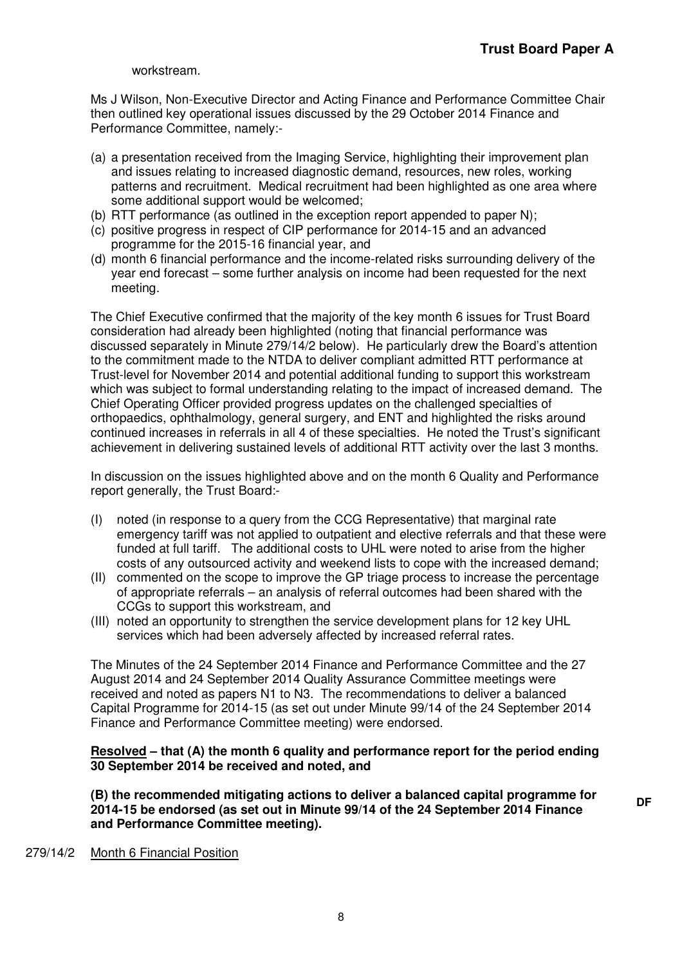**DF** 

workstream.

Ms J Wilson, Non-Executive Director and Acting Finance and Performance Committee Chair then outlined key operational issues discussed by the 29 October 2014 Finance and Performance Committee, namely:-

- (a) a presentation received from the Imaging Service, highlighting their improvement plan and issues relating to increased diagnostic demand, resources, new roles, working patterns and recruitment. Medical recruitment had been highlighted as one area where some additional support would be welcomed;
- (b) RTT performance (as outlined in the exception report appended to paper N);
- (c) positive progress in respect of CIP performance for 2014-15 and an advanced programme for the 2015-16 financial year, and
- (d) month 6 financial performance and the income-related risks surrounding delivery of the year end forecast – some further analysis on income had been requested for the next meeting.

The Chief Executive confirmed that the majority of the key month 6 issues for Trust Board consideration had already been highlighted (noting that financial performance was discussed separately in Minute 279/14/2 below). He particularly drew the Board's attention to the commitment made to the NTDA to deliver compliant admitted RTT performance at Trust-level for November 2014 and potential additional funding to support this workstream which was subject to formal understanding relating to the impact of increased demand. The Chief Operating Officer provided progress updates on the challenged specialties of orthopaedics, ophthalmology, general surgery, and ENT and highlighted the risks around continued increases in referrals in all 4 of these specialties. He noted the Trust's significant achievement in delivering sustained levels of additional RTT activity over the last 3 months.

In discussion on the issues highlighted above and on the month 6 Quality and Performance report generally, the Trust Board:-

- (I) noted (in response to a query from the CCG Representative) that marginal rate emergency tariff was not applied to outpatient and elective referrals and that these were funded at full tariff. The additional costs to UHL were noted to arise from the higher costs of any outsourced activity and weekend lists to cope with the increased demand;
- (II) commented on the scope to improve the GP triage process to increase the percentage of appropriate referrals – an analysis of referral outcomes had been shared with the CCGs to support this workstream, and
- (III) noted an opportunity to strengthen the service development plans for 12 key UHL services which had been adversely affected by increased referral rates.

The Minutes of the 24 September 2014 Finance and Performance Committee and the 27 August 2014 and 24 September 2014 Quality Assurance Committee meetings were received and noted as papers N1 to N3. The recommendations to deliver a balanced Capital Programme for 2014-15 (as set out under Minute 99/14 of the 24 September 2014 Finance and Performance Committee meeting) were endorsed.

### **Resolved – that (A) the month 6 quality and performance report for the period ending 30 September 2014 be received and noted, and**

**(B) the recommended mitigating actions to deliver a balanced capital programme for 2014-15 be endorsed (as set out in Minute 99/14 of the 24 September 2014 Finance and Performance Committee meeting).** 

#### 279/14/2 Month 6 Financial Position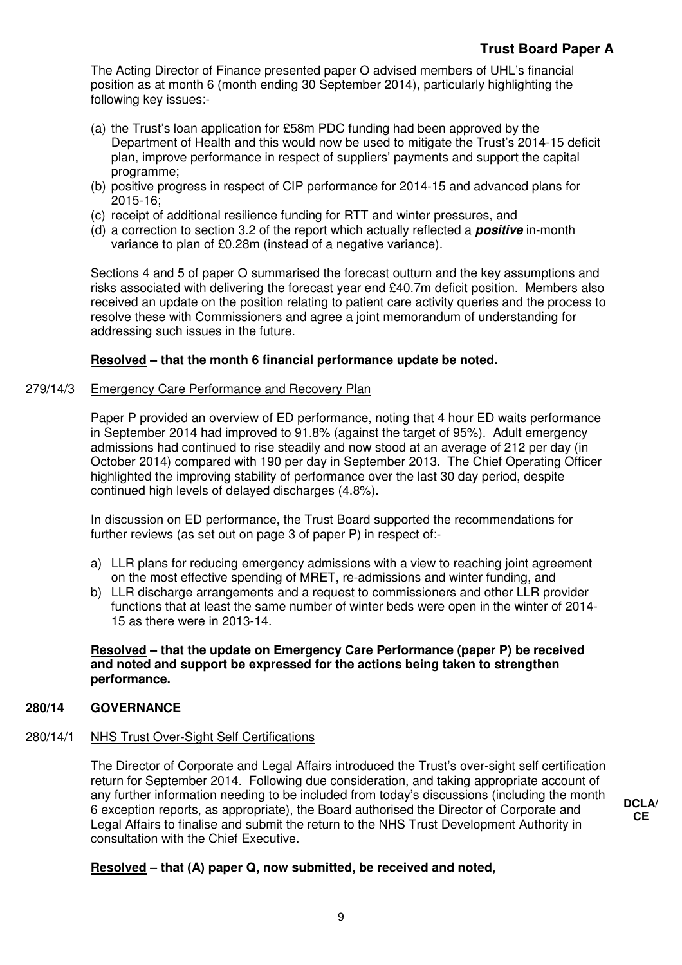The Acting Director of Finance presented paper O advised members of UHL's financial position as at month 6 (month ending 30 September 2014), particularly highlighting the following key issues:-

- (a) the Trust's loan application for £58m PDC funding had been approved by the Department of Health and this would now be used to mitigate the Trust's 2014-15 deficit plan, improve performance in respect of suppliers' payments and support the capital programme;
- (b) positive progress in respect of CIP performance for 2014-15 and advanced plans for 2015-16;
- (c) receipt of additional resilience funding for RTT and winter pressures, and
- (d) a correction to section 3.2 of the report which actually reflected a **positive** in-month variance to plan of £0.28m (instead of a negative variance).

Sections 4 and 5 of paper O summarised the forecast outturn and the key assumptions and risks associated with delivering the forecast year end £40.7m deficit position. Members also received an update on the position relating to patient care activity queries and the process to resolve these with Commissioners and agree a joint memorandum of understanding for addressing such issues in the future.

# **Resolved – that the month 6 financial performance update be noted.**

# 279/14/3 Emergency Care Performance and Recovery Plan

Paper P provided an overview of ED performance, noting that 4 hour ED waits performance in September 2014 had improved to 91.8% (against the target of 95%). Adult emergency admissions had continued to rise steadily and now stood at an average of 212 per day (in October 2014) compared with 190 per day in September 2013. The Chief Operating Officer highlighted the improving stability of performance over the last 30 day period, despite continued high levels of delayed discharges (4.8%).

In discussion on ED performance, the Trust Board supported the recommendations for further reviews (as set out on page 3 of paper P) in respect of:-

- a) LLR plans for reducing emergency admissions with a view to reaching joint agreement on the most effective spending of MRET, re-admissions and winter funding, and
- b) LLR discharge arrangements and a request to commissioners and other LLR provider functions that at least the same number of winter beds were open in the winter of 2014- 15 as there were in 2013-14.

**Resolved – that the update on Emergency Care Performance (paper P) be received and noted and support be expressed for the actions being taken to strengthen performance.** 

# **280/14 GOVERNANCE**

#### 280/14/1 NHS Trust Over-Sight Self Certifications

The Director of Corporate and Legal Affairs introduced the Trust's over-sight self certification return for September 2014. Following due consideration, and taking appropriate account of any further information needing to be included from today's discussions (including the month 6 exception reports, as appropriate), the Board authorised the Director of Corporate and Legal Affairs to finalise and submit the return to the NHS Trust Development Authority in consultation with the Chief Executive.

**Resolved – that (A) paper Q, now submitted, be received and noted,**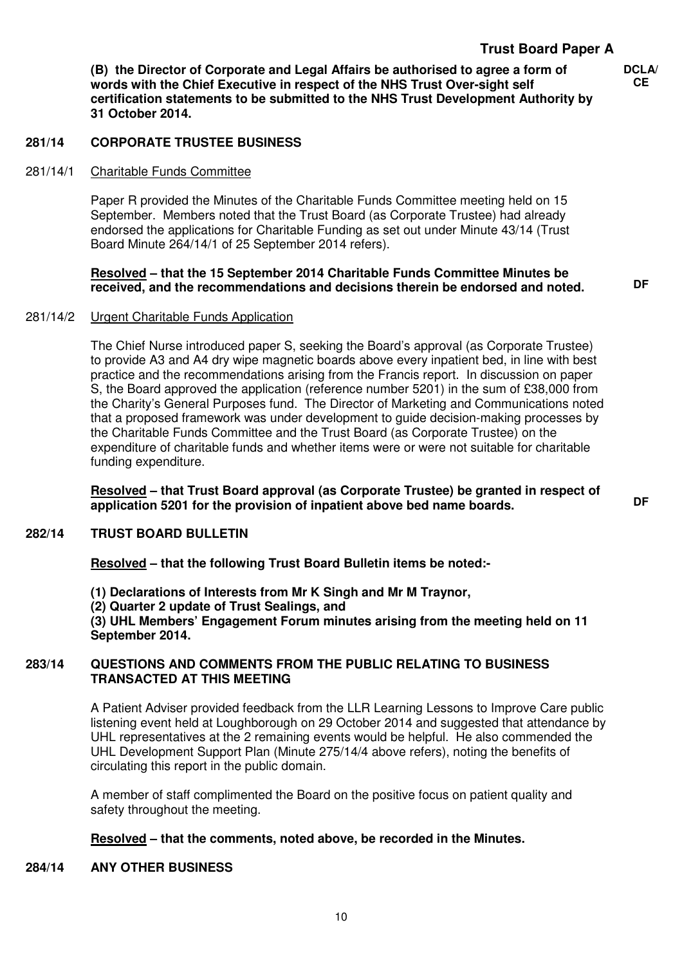**(B) the Director of Corporate and Legal Affairs be authorised to agree a form of words with the Chief Executive in respect of the NHS Trust Over-sight self certification statements to be submitted to the NHS Trust Development Authority by 31 October 2014.** 

**DCLA/ CE**

# **281/14 CORPORATE TRUSTEE BUSINESS**

# 281/14/1 Charitable Funds Committee

Paper R provided the Minutes of the Charitable Funds Committee meeting held on 15 September. Members noted that the Trust Board (as Corporate Trustee) had already endorsed the applications for Charitable Funding as set out under Minute 43/14 (Trust Board Minute 264/14/1 of 25 September 2014 refers).

# **Resolved – that the 15 September 2014 Charitable Funds Committee Minutes be received, and the recommendations and decisions therein be endorsed and noted. DF**

## 281/14/2 Urgent Charitable Funds Application

The Chief Nurse introduced paper S, seeking the Board's approval (as Corporate Trustee) to provide A3 and A4 dry wipe magnetic boards above every inpatient bed, in line with best practice and the recommendations arising from the Francis report. In discussion on paper S, the Board approved the application (reference number 5201) in the sum of £38,000 from the Charity's General Purposes fund. The Director of Marketing and Communications noted that a proposed framework was under development to guide decision-making processes by the Charitable Funds Committee and the Trust Board (as Corporate Trustee) on the expenditure of charitable funds and whether items were or were not suitable for charitable funding expenditure.

**Resolved – that Trust Board approval (as Corporate Trustee) be granted in respect of application 5201 for the provision of inpatient above bed name boards. DF** 

#### **282/14 TRUST BOARD BULLETIN**

**Resolved – that the following Trust Board Bulletin items be noted:-** 

- **(1) Declarations of Interests from Mr K Singh and Mr M Traynor,**
- **(2) Quarter 2 update of Trust Sealings, and**

**(3) UHL Members' Engagement Forum minutes arising from the meeting held on 11 September 2014.** 

### **283/14 QUESTIONS AND COMMENTS FROM THE PUBLIC RELATING TO BUSINESS TRANSACTED AT THIS MEETING**

A Patient Adviser provided feedback from the LLR Learning Lessons to Improve Care public listening event held at Loughborough on 29 October 2014 and suggested that attendance by UHL representatives at the 2 remaining events would be helpful. He also commended the UHL Development Support Plan (Minute 275/14/4 above refers), noting the benefits of circulating this report in the public domain.

A member of staff complimented the Board on the positive focus on patient quality and safety throughout the meeting.

# **Resolved – that the comments, noted above, be recorded in the Minutes.**

#### **284/14 ANY OTHER BUSINESS**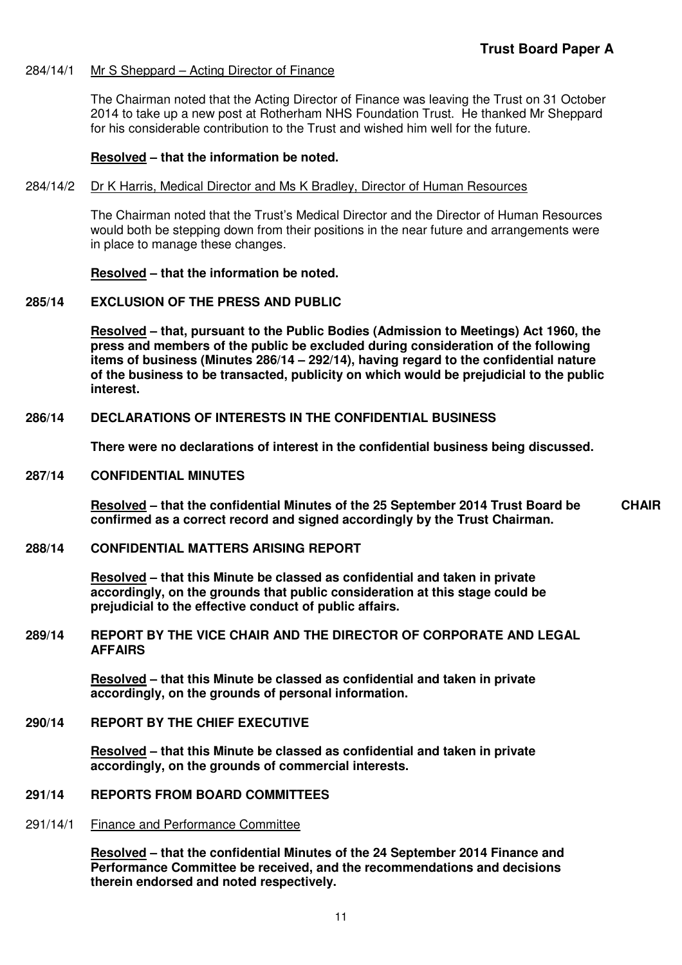#### 284/14/1 Mr S Sheppard – Acting Director of Finance

The Chairman noted that the Acting Director of Finance was leaving the Trust on 31 October 2014 to take up a new post at Rotherham NHS Foundation Trust. He thanked Mr Sheppard for his considerable contribution to the Trust and wished him well for the future.

#### **Resolved – that the information be noted.**

#### 284/14/2 Dr K Harris, Medical Director and Ms K Bradley, Director of Human Resources

The Chairman noted that the Trust's Medical Director and the Director of Human Resources would both be stepping down from their positions in the near future and arrangements were in place to manage these changes.

### **Resolved – that the information be noted.**

### **285/14 EXCLUSION OF THE PRESS AND PUBLIC**

**Resolved – that, pursuant to the Public Bodies (Admission to Meetings) Act 1960, the press and members of the public be excluded during consideration of the following items of business (Minutes 286/14 – 292/14), having regard to the confidential nature of the business to be transacted, publicity on which would be prejudicial to the public interest.** 

### **286/14 DECLARATIONS OF INTERESTS IN THE CONFIDENTIAL BUSINESS**

**There were no declarations of interest in the confidential business being discussed.** 

#### **287/14 CONFIDENTIAL MINUTES**

**Resolved – that the confidential Minutes of the 25 September 2014 Trust Board be confirmed as a correct record and signed accordingly by the Trust Chairman. CHAIR** 

### **288/14 CONFIDENTIAL MATTERS ARISING REPORT**

**Resolved – that this Minute be classed as confidential and taken in private accordingly, on the grounds that public consideration at this stage could be prejudicial to the effective conduct of public affairs.** 

#### **289/14 REPORT BY THE VICE CHAIR AND THE DIRECTOR OF CORPORATE AND LEGAL AFFAIRS**

**Resolved – that this Minute be classed as confidential and taken in private accordingly, on the grounds of personal information.** 

# **290/14 REPORT BY THE CHIEF EXECUTIVE**

**Resolved – that this Minute be classed as confidential and taken in private accordingly, on the grounds of commercial interests.** 

### **291/14 REPORTS FROM BOARD COMMITTEES**

291/14/1 Finance and Performance Committee

**Resolved – that the confidential Minutes of the 24 September 2014 Finance and Performance Committee be received, and the recommendations and decisions therein endorsed and noted respectively.**